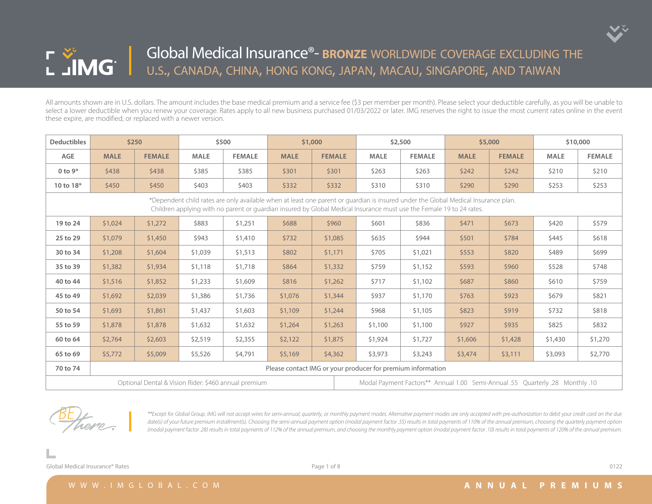

| <b>Deductibles</b> |             | \$250                                                |             | \$500         |             | \$1,000       |                                                                               | \$2,500                                                                                                                                                                                                                                                    |             | \$5,000       |             | \$10,000      |  |  |
|--------------------|-------------|------------------------------------------------------|-------------|---------------|-------------|---------------|-------------------------------------------------------------------------------|------------------------------------------------------------------------------------------------------------------------------------------------------------------------------------------------------------------------------------------------------------|-------------|---------------|-------------|---------------|--|--|
| AGE                | <b>MALE</b> | <b>FEMALE</b>                                        | <b>MALE</b> | <b>FEMALE</b> | <b>MALE</b> | <b>FEMALE</b> | <b>MALE</b>                                                                   | <b>FEMALE</b>                                                                                                                                                                                                                                              | <b>MALE</b> | <b>FEMALE</b> | <b>MALE</b> | <b>FEMALE</b> |  |  |
| 0 to $9*$          | \$438       | \$438                                                | \$385       | \$385         | \$301       | \$301         | \$263                                                                         | \$263                                                                                                                                                                                                                                                      | \$242       | \$242         | \$210       | \$210         |  |  |
| 10 to 18*          | \$450       | \$450                                                | \$403       | \$403         | \$332       | \$332         | \$310                                                                         | \$310                                                                                                                                                                                                                                                      | \$290       | \$290         | \$253       | \$253         |  |  |
|                    |             |                                                      |             |               |             |               |                                                                               | *Dependent child rates are only available when at least one parent or quardian is insured under the Global Medical Insurance plan.<br>Children applying with no parent or guardian insured by Global Medical Insurance must use the Female 19 to 24 rates. |             |               |             |               |  |  |
| 19 to 24           | \$1,024     | \$1,272                                              | \$883       | \$1,251       | \$688       | \$960         | \$601                                                                         | \$836                                                                                                                                                                                                                                                      | \$471       | \$673         | \$420       | \$579         |  |  |
| 25 to 29           | \$1,079     | \$1,450                                              | \$943       | \$1,410       | \$732       | \$1,085       | \$635                                                                         | \$944                                                                                                                                                                                                                                                      | \$501       | \$784         | \$445       | \$618         |  |  |
| 30 to 34           | \$1,208     | \$1,604                                              | \$1,039     | \$1,513       | \$802       | \$1,171       | \$705                                                                         | \$1,021                                                                                                                                                                                                                                                    | \$553       | \$820         | \$489       | \$699         |  |  |
| 35 to 39           | \$1,382     | \$1,934                                              | \$1,118     | \$1,718       | \$864       | \$1,332       | \$759                                                                         | \$1,152                                                                                                                                                                                                                                                    | \$593       | \$960         | \$528       | \$748         |  |  |
| 40 to 44           | \$1,516     | \$1,852                                              | \$1,233     | \$1,609       | \$816       | \$1,262       | \$717                                                                         | \$1,102                                                                                                                                                                                                                                                    | \$687       | \$860         | \$610       | \$759         |  |  |
| 45 to 49           | \$1,692     | \$2,039                                              | \$1,386     | \$1,736       | \$1,076     | \$1,344       | \$937                                                                         | \$1,170                                                                                                                                                                                                                                                    | \$763       | \$923         | \$679       | \$821         |  |  |
| 50 to 54           | \$1,693     | \$1,861                                              | \$1,437     | \$1,603       | \$1,109     | \$1,244       | \$968                                                                         | \$1,105                                                                                                                                                                                                                                                    | \$823       | \$919         | \$732       | \$818         |  |  |
| 55 to 59           | \$1,878     | \$1,878                                              | \$1,632     | \$1,632       | \$1,264     | \$1,263       | \$1,100                                                                       | \$1,100                                                                                                                                                                                                                                                    | \$927       | \$935         | \$825       | \$832         |  |  |
| 60 to 64           | \$2,764     | \$2,603                                              | \$2,519     | \$2,355       | \$2,122     | \$1,875       | \$1,924                                                                       | \$1,727                                                                                                                                                                                                                                                    | \$1,606     | \$1,428       | \$1,430     | \$1,270       |  |  |
| 65 to 69           | \$5,772     | \$5,009                                              | \$5,526     | \$4,791       | \$5,169     | \$4,362       | \$3,973                                                                       | \$3,243                                                                                                                                                                                                                                                    | \$3,474     | \$3,111       | \$3,093     | \$2,770       |  |  |
| 70 to 74           |             |                                                      |             |               |             |               | Please contact IMG or your producer for premium information                   |                                                                                                                                                                                                                                                            |             |               |             |               |  |  |
|                    |             | Optional Dental & Vision Rider: \$460 annual premium |             |               |             |               | 10. Modal Payment Factors** Annual 1.00 Semi-Annual .55 Quarterly .28 Monthly |                                                                                                                                                                                                                                                            |             |               |             |               |  |  |



*\*\*Except for Global Group, IMG will not accept wires for semi-annual, quarterly, or monthly payment modes. Alternative payment modes are only accepted with pre-authorization to debit your credit card on the due*  date(s) of your future premium installment(s). Choosing the semi-annual payment option (modal payment factor .55) results in total payments of 110% of the annual premium, choosing the quarterly payment option *(modal payment factor .28) results in total payments of 112% of the annual premium, and choosing the monthly payment option (modal payment factor .10) results in total payments of 120% of the annual premium.*

Global Medical Insurance® Rates **Department of Accord 2012** Page 1 of 8 0122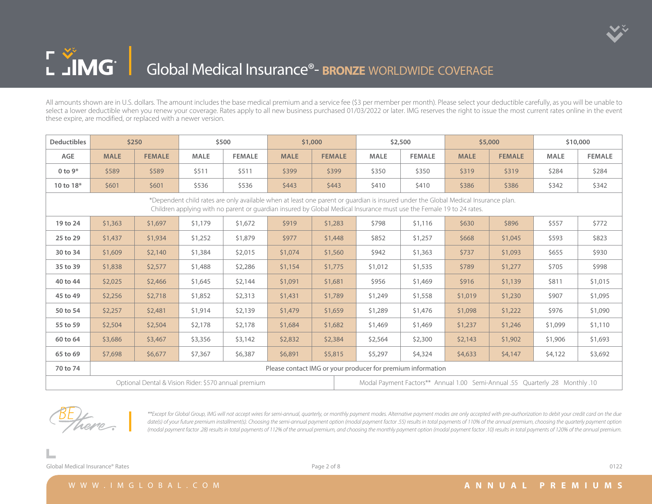

## L JMG | Global Medical Insurance<sup>®</sup>- **BRONZE** WORLDWIDE COVERAGE

All amounts shown are in U.S. dollars. The amount includes the base medical premium and a service fee (\$3 per member per month). Please select your deductible carefully, as you will be unable to select a lower deductible when you renew your coverage. Rates apply to all new business purchased 01/03/2022 or later. IMG reserves the right to issue the most current rates online in the event these expire, are modified, or replaced with a newer version.

| <b>Deductibles</b> |                                                                                                                                                                                                                                                            | \$250         |                                                      | \$500         |             | \$1,000                                                     |                                                                               | \$2,500       |             | \$5,000       | \$10,000    |               |  |  |  |
|--------------------|------------------------------------------------------------------------------------------------------------------------------------------------------------------------------------------------------------------------------------------------------------|---------------|------------------------------------------------------|---------------|-------------|-------------------------------------------------------------|-------------------------------------------------------------------------------|---------------|-------------|---------------|-------------|---------------|--|--|--|
| <b>AGE</b>         | <b>MALE</b>                                                                                                                                                                                                                                                | <b>FEMALE</b> | <b>MALE</b>                                          | <b>FEMALE</b> | <b>MALE</b> | <b>FEMALE</b>                                               | <b>MALE</b>                                                                   | <b>FEMALE</b> | <b>MALE</b> | <b>FEMALE</b> | <b>MALE</b> | <b>FEMALE</b> |  |  |  |
| 0 to $9*$          | \$589                                                                                                                                                                                                                                                      | \$589         | \$511                                                | \$511         | \$399       | \$399                                                       | \$350                                                                         | \$350         | \$319       | \$319         | \$284       | \$284         |  |  |  |
| 10 to 18*          | \$601                                                                                                                                                                                                                                                      | \$601         | \$536                                                | \$536         | \$443       | \$443                                                       | \$410                                                                         | \$410         | \$386       | \$386         | \$342       | \$342         |  |  |  |
|                    | *Dependent child rates are only available when at least one parent or quardian is insured under the Global Medical Insurance plan.<br>Children applying with no parent or guardian insured by Global Medical Insurance must use the Female 19 to 24 rates. |               |                                                      |               |             |                                                             |                                                                               |               |             |               |             |               |  |  |  |
| 19 to 24           | \$1,363                                                                                                                                                                                                                                                    | \$1,697       | \$1,179                                              | \$1,672       | \$919       | \$1,283                                                     | \$798                                                                         | \$1,116       | \$630       | \$896         | \$557       | \$772         |  |  |  |
| 25 to 29           | \$1,437                                                                                                                                                                                                                                                    | \$1,934       | \$1,252                                              | \$1,879       | \$977       | \$1,448                                                     | \$852                                                                         | \$1,257       | \$668       | \$1,045       | \$593       | \$823         |  |  |  |
| 30 to 34           | \$1,609                                                                                                                                                                                                                                                    | \$2,140       | \$1,384                                              | \$2,015       | \$1,074     | \$1,560                                                     | \$942                                                                         | \$1,363       | \$737       | \$1,093       | \$655       | \$930         |  |  |  |
| 35 to 39           | \$1,838                                                                                                                                                                                                                                                    | \$2,577       | \$1,488                                              | \$2,286       | \$1,154     | \$1,775                                                     | \$1,012                                                                       | \$1,535       | \$789       | \$1,277       | \$705       | \$998         |  |  |  |
| 40 to 44           | \$2,025                                                                                                                                                                                                                                                    | \$2,466       | \$1,645                                              | \$2,144       | \$1,091     | \$1,681                                                     | \$956                                                                         | \$1,469       | \$916       | \$1,139       | \$811       | \$1,015       |  |  |  |
| 45 to 49           | \$2,256                                                                                                                                                                                                                                                    | \$2,718       | \$1,852                                              | \$2,313       | \$1,431     | \$1,789                                                     | \$1,249                                                                       | \$1,558       | \$1,019     | \$1,230       | \$907       | \$1,095       |  |  |  |
| 50 to 54           | \$2,257                                                                                                                                                                                                                                                    | \$2,481       | \$1,914                                              | \$2,139       | \$1,479     | \$1,659                                                     | \$1,289                                                                       | \$1,476       | \$1,098     | \$1,222       | \$976       | \$1,090       |  |  |  |
| 55 to 59           | \$2,504                                                                                                                                                                                                                                                    | \$2,504       | \$2,178                                              | \$2,178       | \$1,684     | \$1,682                                                     | \$1,469                                                                       | \$1,469       | \$1,237     | \$1,246       | \$1,099     | \$1,110       |  |  |  |
| 60 to 64           | \$3,686                                                                                                                                                                                                                                                    | \$3,467       | \$3,356                                              | \$3,142       | \$2,832     | \$2,384                                                     | \$2,564                                                                       | \$2,300       | \$2,143     | \$1,902       | \$1,906     | \$1,693       |  |  |  |
| 65 to 69           | \$7,698                                                                                                                                                                                                                                                    | \$6,677       | \$7,367                                              | \$6,387       | \$6,891     | \$5,815                                                     | \$5,297                                                                       | \$4,324       | \$4,633     | \$4,147       | \$4,122     | \$3,692       |  |  |  |
| 70 to 74           |                                                                                                                                                                                                                                                            |               |                                                      |               |             | Please contact IMG or your producer for premium information |                                                                               |               |             |               |             |               |  |  |  |
|                    |                                                                                                                                                                                                                                                            |               | Optional Dental & Vision Rider: \$570 annual premium |               |             |                                                             | Modal Payment Factors** Annual 1.00 Semi-Annual .55 Quarterly .28 Monthly .10 |               |             |               |             |               |  |  |  |



*\*\*Except for Global Group, IMG will not accept wires for semi-annual, quarterly, or monthly payment modes. Alternative payment modes are only accepted with pre-authorization to debit your credit card on the due*  date(s) of your future premium installment(s). Choosing the semi-annual payment option (modal payment factor .55) results in total payments of 110% of the annual premium, choosing the quarterly payment option *(modal payment factor .28) results in total payments of 112% of the annual premium, and choosing the monthly payment option (modal payment factor .10) results in total payments of 120% of the annual premium.*

Global Medical Insurance® Rates **Department Controllering Controllering Controllering Controllering Controllering Controllering Controllering Controllering Controllering Controllering Controllering Controllering Controller**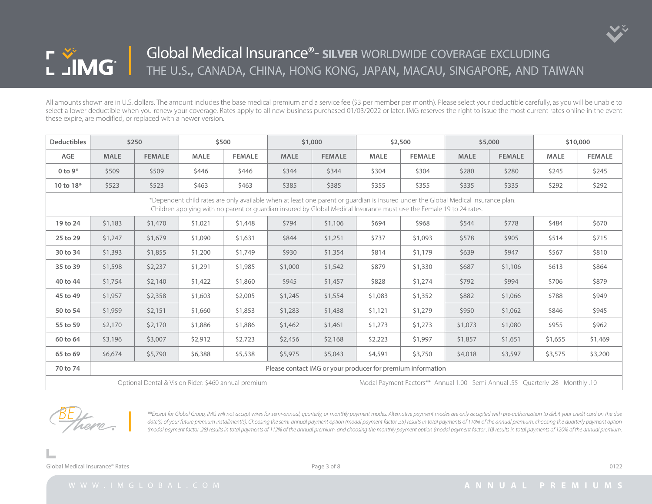

| <b>Deductibles</b> |             | \$250         |             | \$500                                                                                                                                                                                                                                                      |             | \$1,000       |                                                                               | \$2,500       |             | \$5,000       |             | \$10,000      |  |  |
|--------------------|-------------|---------------|-------------|------------------------------------------------------------------------------------------------------------------------------------------------------------------------------------------------------------------------------------------------------------|-------------|---------------|-------------------------------------------------------------------------------|---------------|-------------|---------------|-------------|---------------|--|--|
| AGE                | <b>MALE</b> | <b>FEMALE</b> | <b>MALE</b> | <b>FEMALE</b>                                                                                                                                                                                                                                              | <b>MALE</b> | <b>FEMALE</b> | <b>MALE</b>                                                                   | <b>FEMALE</b> | <b>MALE</b> | <b>FEMALE</b> | <b>MALE</b> | <b>FEMALE</b> |  |  |
| 0 to $9*$          | \$509       | \$509         | \$446       | \$446                                                                                                                                                                                                                                                      | \$344       | \$344         | \$304                                                                         | \$304         | \$280       | \$280         | \$245       | \$245         |  |  |
| 10 to 18*          | \$523       | \$523         | \$463       | \$463                                                                                                                                                                                                                                                      | \$385       | \$385         | \$355                                                                         | \$355         | \$335       | \$335         | \$292       | \$292         |  |  |
|                    |             |               |             | *Dependent child rates are only available when at least one parent or guardian is insured under the Global Medical Insurance plan.<br>Children applying with no parent or guardian insured by Global Medical Insurance must use the Female 19 to 24 rates. |             |               |                                                                               |               |             |               |             |               |  |  |
| 19 to 24           | \$1,183     | \$1,470       | \$1,021     | \$1,448                                                                                                                                                                                                                                                    | \$794       | \$1,106       | \$694                                                                         | \$968         | \$544       | \$778         | \$484       | \$670         |  |  |
| 25 to 29           | \$1,247     | \$1,679       | \$1,090     | \$1,631                                                                                                                                                                                                                                                    | \$844       | \$1,251       | \$737                                                                         | \$1,093       | \$578       | \$905         | \$514       | \$715         |  |  |
| 30 to 34           | \$1,393     | \$1,855       | \$1,200     | \$1,749                                                                                                                                                                                                                                                    | \$930       | \$1,354       | \$814                                                                         | \$1,179       | \$639       | \$947         | \$567       | \$810         |  |  |
| 35 to 39           | \$1,598     | \$2,237       | \$1,291     | \$1,985                                                                                                                                                                                                                                                    | \$1,000     | \$1,542       | \$879                                                                         | \$1,330       | \$687       | \$1,106       | \$613       | \$864         |  |  |
| 40 to 44           | \$1,754     | \$2,140       | \$1,422     | \$1,860                                                                                                                                                                                                                                                    | \$945       | \$1,457       | \$828                                                                         | \$1,274       | \$792       | \$994         | \$706       | \$879         |  |  |
| 45 to 49           | \$1,957     | \$2,358       | \$1,603     | \$2,005                                                                                                                                                                                                                                                    | \$1,245     | \$1,554       | \$1,083                                                                       | \$1,352       | \$882       | \$1,066       | \$788       | \$949         |  |  |
| 50 to 54           | \$1,959     | \$2,151       | \$1,660     | \$1,853                                                                                                                                                                                                                                                    | \$1,283     | \$1,438       | \$1,121                                                                       | \$1,279       | \$950       | \$1,062       | \$846       | \$945         |  |  |
| 55 to 59           | \$2,170     | \$2,170       | \$1,886     | \$1,886                                                                                                                                                                                                                                                    | \$1,462     | \$1,461       | \$1,273                                                                       | \$1,273       | \$1,073     | \$1,080       | \$955       | \$962         |  |  |
| 60 to 64           | \$3,196     | \$3,007       | \$2,912     | \$2,723                                                                                                                                                                                                                                                    | \$2,456     | \$2,168       | \$2,223                                                                       | \$1,997       | \$1,857     | \$1,651       | \$1,655     | \$1,469       |  |  |
| 65 to 69           | \$6,674     | \$5,790       | \$6,388     | \$5,538                                                                                                                                                                                                                                                    | \$5,975     | \$5,043       | \$4,591                                                                       | \$3,750       | \$4,018     | \$3,597       | \$3,575     | \$3,200       |  |  |
| 70 to 74           |             |               |             |                                                                                                                                                                                                                                                            |             |               | Please contact IMG or your producer for premium information                   |               |             |               |             |               |  |  |
|                    |             |               |             | Optional Dental & Vision Rider: \$460 annual premium                                                                                                                                                                                                       |             |               | 10. Modal Payment Factors** Annual 1.00 Semi-Annual .55 Quarterly .28 Monthly |               |             |               |             |               |  |  |



*\*\*Except for Global Group, IMG will not accept wires for semi-annual, quarterly, or monthly payment modes. Alternative payment modes are only accepted with pre-authorization to debit your credit card on the due*  date(s) of your future premium installment(s). Choosing the semi-annual payment option (modal payment factor .55) results in total payments of 110% of the annual premium, choosing the quarterly payment option *(modal payment factor .28) results in total payments of 112% of the annual premium, and choosing the monthly payment option (modal payment factor .10) results in total payments of 120% of the annual premium.*

Global Medical Insurance® Rates **Department Controllering Controllering Controllering** Controllering Controllering Controllering Controllering Controllering Controllering Controllering Controllering Controllering Controlle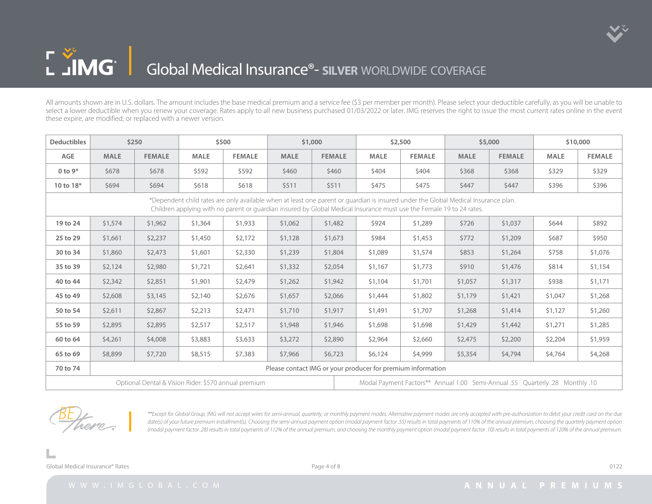

## L JMG | Global Medical Insurance®- **silver** worldwide coverage

All amounts shown are in U.S. dollars. The amount includes the base medical premium and a service fee (\$3 per member per month). Please select your deductible carefully, as you will be unable to select a lower deductible when you renew your coverage. Rates apply to all new business purchased 01/03/2022 or later. IMG reserves the right to issue the most current rates online in the event these expire, are modified, or replaced with a newer version.

| <b>Deductibles</b> |                                                                                                                                                                                                                                                            | \$250                                                |             | \$500         |             | \$1,000       |                                                                               | \$2,500       |             | \$5,000       |             | \$10,000      |  |  |
|--------------------|------------------------------------------------------------------------------------------------------------------------------------------------------------------------------------------------------------------------------------------------------------|------------------------------------------------------|-------------|---------------|-------------|---------------|-------------------------------------------------------------------------------|---------------|-------------|---------------|-------------|---------------|--|--|
| <b>AGE</b>         | <b>MALE</b>                                                                                                                                                                                                                                                | <b>FEMALE</b>                                        | <b>MALE</b> | <b>FEMALE</b> | <b>MALE</b> | <b>FEMALE</b> | <b>MALE</b>                                                                   | <b>FEMALE</b> | <b>MALE</b> | <b>FEMALE</b> | <b>MALE</b> | <b>FEMALE</b> |  |  |
| 0 to $9*$          | \$678                                                                                                                                                                                                                                                      | \$678                                                | \$592       | \$592         | \$460       | \$460         | \$404                                                                         | \$404         | \$368       | \$368         | \$329       | \$329         |  |  |
| 10 to 18*          | \$694                                                                                                                                                                                                                                                      | \$694                                                | \$618       | \$618         | \$511       | \$511         | \$475                                                                         | \$475         | \$447       | \$447         | \$396       | \$396         |  |  |
|                    | *Dependent child rates are only available when at least one parent or quardian is insured under the Global Medical Insurance plan.<br>Children applying with no parent or guardian insured by Global Medical Insurance must use the Female 19 to 24 rates. |                                                      |             |               |             |               |                                                                               |               |             |               |             |               |  |  |
| 19 to 24           | \$1,574                                                                                                                                                                                                                                                    | \$1,962                                              | \$1,364     | \$1,933       | \$1,062     | \$1,482       | \$924                                                                         | \$1,289       | \$726       | \$1,037       | \$644       | \$892         |  |  |
| 25 to 29           | \$1,661                                                                                                                                                                                                                                                    | \$2,237                                              | \$1,450     | \$2,172       | \$1,128     | \$1,673       | \$984                                                                         | \$1,453       | \$772       | \$1,209       | \$687       | \$950         |  |  |
| 30 to 34           | \$1,860                                                                                                                                                                                                                                                    | \$2,473                                              | \$1,601     | \$2,330       | \$1,239     | \$1,804       | \$1,089                                                                       | \$1,574       | \$853       | \$1,264       | \$758       | \$1,076       |  |  |
| 35 to 39           | \$2,124                                                                                                                                                                                                                                                    | \$2,980                                              | \$1,721     | \$2,641       | \$1,332     | \$2,054       | \$1,167                                                                       | \$1,773       | \$910       | \$1,476       | \$814       | \$1,154       |  |  |
| 40 to 44           | \$2,342                                                                                                                                                                                                                                                    | \$2,851                                              | \$1,901     | \$2,479       | \$1,262     | \$1,942       | \$1,104                                                                       | \$1,701       | \$1,057     | \$1,317       | \$938       | \$1,171       |  |  |
| 45 to 49           | \$2,608                                                                                                                                                                                                                                                    | \$3,145                                              | \$2,140     | \$2,676       | \$1,657     | \$2,066       | \$1,444                                                                       | \$1,802       | \$1,179     | \$1,421       | \$1,047     | \$1,268       |  |  |
| 50 to 54           | \$2,611                                                                                                                                                                                                                                                    | \$2,867                                              | \$2,213     | \$2,471       | \$1,710     | \$1,917       | \$1,491                                                                       | \$1,707       | \$1,268     | \$1,414       | \$1,127     | \$1,260       |  |  |
| 55 to 59           | \$2,895                                                                                                                                                                                                                                                    | \$2,895                                              | \$2,517     | \$2,517       | \$1,948     | \$1,946       | \$1,698                                                                       | \$1,698       | \$1,429     | \$1,442       | \$1,271     | \$1,285       |  |  |
| 60 to 64           | \$4,261                                                                                                                                                                                                                                                    | \$4,008                                              | \$3,883     | \$3,633       | \$3,272     | \$2,890       | \$2,964                                                                       | \$2,660       | \$2,475     | \$2,200       | \$2,204     | \$1,959       |  |  |
| 65 to 69           | \$8,899                                                                                                                                                                                                                                                    | \$7,720                                              | \$8,515     | \$7,383       | \$7,966     | \$6,723       | \$6,124                                                                       | \$4,999       | \$5,354     | \$4,794       | \$4,764     | \$4,268       |  |  |
| 70 to 74           |                                                                                                                                                                                                                                                            |                                                      |             |               |             |               | Please contact IMG or your producer for premium information                   |               |             |               |             |               |  |  |
|                    |                                                                                                                                                                                                                                                            | Optional Dental & Vision Rider: \$570 annual premium |             |               |             |               | Modal Payment Factors** Annual 1.00 Semi-Annual .55 Quarterly .28 Monthly .10 |               |             |               |             |               |  |  |



*\*\*Except for Global Group, IMG will not accept wires for semi-annual, quarterly, or monthly payment modes. Alternative payment modes are only accepted with pre-authorization to debit your credit card on the due*  date(s) of your future premium installment(s). Choosing the semi-annual payment option (modal payment factor .55) results in total payments of 110% of the annual premium, choosing the quarterly payment option *(modal payment factor .28) results in total payments of 112% of the annual premium, and choosing the monthly payment option (modal payment factor .10) results in total payments of 120% of the annual premium.*

Global Medical Insurance® Rates **Department Controllering Controllering Controllering Controllering Controllering Controllering Controllering Controllering Controllering Controllering Controllering Controllering Controller**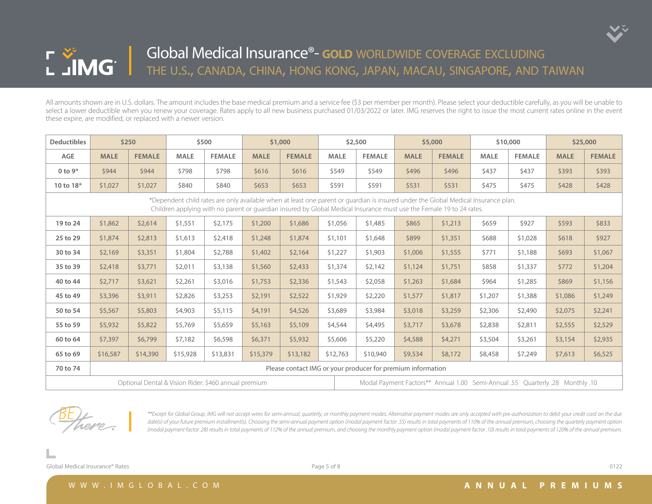

| <b>Deductibles</b> |             | \$250         |             | \$500                                                |             | \$1,000       |             | \$2,500                                                                                                                                                                                                                                                    |             | \$5,000       |             | \$10,000      |             | \$25,000      |  |  |
|--------------------|-------------|---------------|-------------|------------------------------------------------------|-------------|---------------|-------------|------------------------------------------------------------------------------------------------------------------------------------------------------------------------------------------------------------------------------------------------------------|-------------|---------------|-------------|---------------|-------------|---------------|--|--|
| AGE                | <b>MALE</b> | <b>FEMALE</b> | <b>MALE</b> | <b>FEMALE</b>                                        | <b>MALE</b> | <b>FEMALE</b> | <b>MALE</b> | <b>FEMALE</b>                                                                                                                                                                                                                                              | <b>MALE</b> | <b>FEMALE</b> | <b>MALE</b> | <b>FEMALE</b> | <b>MALE</b> | <b>FEMALE</b> |  |  |
| 0 to $9*$          | \$944       | \$944         | \$798       | \$798                                                | \$616       | \$616         | \$549       | \$549                                                                                                                                                                                                                                                      | \$496       | \$496         | \$437       | \$437         | \$393       | \$393         |  |  |
| 10 to 18*          | \$1,027     | \$1,027       | \$840       | \$840                                                | \$653       | \$653         | \$591       | \$591                                                                                                                                                                                                                                                      | \$531       | \$531         | \$475       | \$475         | \$428       | \$428         |  |  |
|                    |             |               |             |                                                      |             |               |             | *Dependent child rates are only available when at least one parent or quardian is insured under the Global Medical Insurance plan.<br>Children applying with no parent or guardian insured by Global Medical Insurance must use the Female 19 to 24 rates. |             |               |             |               |             |               |  |  |
| 19 to 24           | \$1,862     | \$2,614       | \$1,551     | \$2,175                                              | \$1,200     | \$1,686       | \$1,056     | \$1,485                                                                                                                                                                                                                                                    | \$865       | \$1,213       | \$659       | \$927         | \$593       | \$833         |  |  |
| 25 to 29           | \$1,874     | \$2,813       | \$1,613     | \$2,418                                              | \$1,248     | \$1,874       | \$1,101     | \$1,648                                                                                                                                                                                                                                                    | \$899       | \$1,351       | \$688       | \$1,028       | \$618       | \$927         |  |  |
| 30 to 34           | \$2,169     | \$3,351       | \$1,804     | \$2,788                                              | \$1,402     | \$2,164       | \$1,227     | \$1,903                                                                                                                                                                                                                                                    | \$1,006     | \$1,555       | \$771       | \$1,188       | \$693       | \$1,067       |  |  |
| 35 to 39           | \$2,418     | \$3,771       | \$2,011     | \$3,138                                              | \$1,560     | \$2,433       | \$1,374     | \$2,142                                                                                                                                                                                                                                                    | \$1,124     | \$1,751       | \$858       | \$1,337       | \$772       | \$1,204       |  |  |
| 40 to 44           | \$2,717     | \$3,621       | \$2,261     | \$3,016                                              | \$1,753     | \$2,336       | \$1,543     | \$2,058                                                                                                                                                                                                                                                    | \$1,263     | \$1,684       | \$964       | \$1,285       | \$869       | \$1,156       |  |  |
| 45 to 49           | \$3,396     | \$3,911       | \$2,826     | \$3,253                                              | \$2,191     | \$2,522       | \$1,929     | \$2,220                                                                                                                                                                                                                                                    | \$1,577     | \$1,817       | \$1,207     | \$1,388       | \$1,086     | \$1,249       |  |  |
| 50 to 54           | \$5,567     | \$5,803       | \$4,903     | \$5,115                                              | \$4,191     | \$4,526       | \$3,689     | \$3,984                                                                                                                                                                                                                                                    | \$3,018     | \$3,259       | \$2,306     | \$2,490       | \$2,075     | \$2,241       |  |  |
| 55 to 59           | \$5,932     | \$5,822       | \$5,769     | \$5,659                                              | \$5,163     | \$5,109       | \$4,544     | \$4,495                                                                                                                                                                                                                                                    | \$3,717     | \$3,678       | \$2,838     | \$2,811       | \$2,555     | \$2,529       |  |  |
| 60 to 64           | \$7,397     | \$6,799       | \$7,182     | \$6,598                                              | \$6,371     | \$5,932       | \$5,606     | \$5,220                                                                                                                                                                                                                                                    | \$4,588     | \$4,271       | \$3,504     | \$3,261       | \$3,154     | \$2,935       |  |  |
| 65 to 69           | \$16,587    | \$14,390      | \$15,928    | \$13,831                                             | \$15,379    | \$13,182      | \$12,763    | \$10,940                                                                                                                                                                                                                                                   | \$9,534     | \$8,172       | \$8,458     | \$7,249       | \$7,613     | \$6,525       |  |  |
| 70 to 74           |             |               |             |                                                      |             |               |             | Please contact IMG or your producer for premium information                                                                                                                                                                                                |             |               |             |               |             |               |  |  |
|                    |             |               |             | Optional Dental & Vision Rider: \$460 annual premium |             |               |             | Modal Payment Factors** Annual 1.00 Semi-Annual .55 Quarterly .28 Monthly .10                                                                                                                                                                              |             |               |             |               |             |               |  |  |



*\*\*Except for Global Group, IMG will not accept wires for semi-annual, quarterly, or monthly payment modes. Alternative payment modes are only accepted with pre-authorization to debit your credit card on the due*  date(s) of your future premium installment(s). Choosing the semi-annual payment option (modal payment factor .55) results in total payments of 110% of the annual premium, choosing the quarterly payment option *(modal payment factor .28) results in total payments of 112% of the annual premium, and choosing the monthly payment option (modal payment factor .10) results in total payments of 120% of the annual premium.*

Global Medical Insurance® Rates **Department Controllering Controllering Controllering Controllering Controllering Controllering Controllering Controllering Controllering Controllering Controllering Controllering Controller**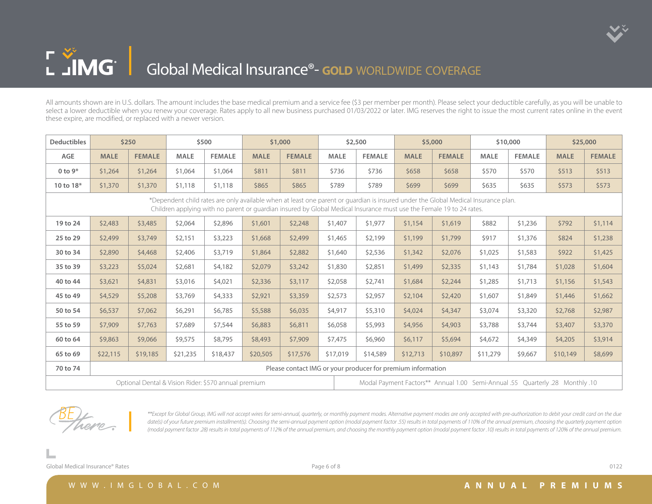

## L JIMG | **Global Medical Insurance<sup>®</sup>- GOLD** WORLDWIDE COVERAGE

All amounts shown are in U.S. dollars. The amount includes the base medical premium and a service fee (\$3 per member per month). Please select your deductible carefully, as you will be unable to select a lower deductible when you renew your coverage. Rates apply to all new business purchased 01/03/2022 or later. IMG reserves the right to issue the most current rates online in the event these expire, are modified, or replaced with a newer version.

| <b>Deductibles</b> |             | \$250         |             | \$500                                                |             | \$1,000                                                                                                                                                                                                                                                    |             | \$2,500                                                                       |             | \$5,000       |          | \$10,000      |             | \$25,000      |  |
|--------------------|-------------|---------------|-------------|------------------------------------------------------|-------------|------------------------------------------------------------------------------------------------------------------------------------------------------------------------------------------------------------------------------------------------------------|-------------|-------------------------------------------------------------------------------|-------------|---------------|----------|---------------|-------------|---------------|--|
| AGE                | <b>MALE</b> | <b>FEMALE</b> | <b>MALE</b> | <b>FEMALE</b>                                        | <b>MALE</b> | <b>FEMALE</b>                                                                                                                                                                                                                                              | <b>MALE</b> | <b>FEMALE</b>                                                                 | <b>MALE</b> | <b>FEMALE</b> | MALE     | <b>FEMALE</b> | <b>MALE</b> | <b>FEMALE</b> |  |
| 0 to $9*$          | \$1,264     | \$1,264       | \$1,064     | \$1,064                                              | \$811       | \$811                                                                                                                                                                                                                                                      | \$736       | \$736                                                                         | \$658       | \$658         | \$570    | \$570         | \$513       | \$513         |  |
| 10 to 18*          | \$1,370     | \$1,370       | \$1,118     | \$1,118                                              | \$865       | \$865                                                                                                                                                                                                                                                      | \$789       | \$789                                                                         | \$699       | \$699         | \$635    | \$635         | \$573       | \$573         |  |
|                    |             |               |             |                                                      |             | *Dependent child rates are only available when at least one parent or guardian is insured under the Global Medical Insurance plan.<br>Children applying with no parent or guardian insured by Global Medical Insurance must use the Female 19 to 24 rates. |             |                                                                               |             |               |          |               |             |               |  |
| 19 to 24           | \$2,483     | \$3,485       | \$2,064     | \$2,896                                              | \$1,601     | \$2,248                                                                                                                                                                                                                                                    | \$1,407     | \$1,977                                                                       | \$1,154     | \$1,619       | \$882    | \$1,236       | \$792       | \$1,114       |  |
| 25 to 29           | \$2,499     | \$3,749       | \$2,151     | \$3,223                                              | \$1,668     | \$2,499                                                                                                                                                                                                                                                    | \$1,465     | \$2,199                                                                       | \$1,199     | \$1,799       | \$917    | \$1,376       | \$824       | \$1,238       |  |
| 30 to 34           | \$2,890     | \$4,468       | \$2,406     | \$3,719                                              | \$1,864     | \$2,882                                                                                                                                                                                                                                                    | \$1,640     | \$2,536                                                                       | \$1,342     | \$2,076       | \$1,025  | \$1,583       | \$922       | \$1,425       |  |
| 35 to 39           | \$3,223     | \$5,024       | \$2,681     | \$4,182                                              | \$2,079     | \$3,242                                                                                                                                                                                                                                                    | \$1,830     | \$2,851                                                                       | \$1,499     | \$2,335       | \$1,143  | \$1,784       | \$1,028     | \$1,604       |  |
| 40 to 44           | \$3,621     | \$4,831       | \$3,016     | \$4,021                                              | \$2,336     | \$3,117                                                                                                                                                                                                                                                    | \$2,058     | \$2,741                                                                       | \$1,684     | \$2,244       | \$1,285  | \$1,713       | \$1,156     | \$1,543       |  |
| 45 to 49           | \$4,529     | \$5,208       | \$3,769     | \$4,333                                              | \$2,921     | \$3,359                                                                                                                                                                                                                                                    | \$2,573     | \$2,957                                                                       | \$2,104     | \$2,420       | \$1,607  | \$1,849       | \$1,446     | \$1,662       |  |
| 50 to 54           | \$6,537     | \$7,062       | \$6,291     | \$6,785                                              | \$5,588     | \$6,035                                                                                                                                                                                                                                                    | \$4,917     | \$5,310                                                                       | \$4,024     | \$4,347       | \$3,074  | \$3,320       | \$2,768     | \$2,987       |  |
| 55 to 59           | \$7,909     | \$7,763       | \$7,689     | \$7,544                                              | \$6,883     | \$6,811                                                                                                                                                                                                                                                    | \$6,058     | \$5,993                                                                       | \$4,956     | \$4,903       | \$3,788  | \$3,744       | \$3,407     | \$3,370       |  |
| 60 to 64           | \$9,863     | \$9,066       | \$9,575     | \$8,795                                              | \$8,493     | \$7,909                                                                                                                                                                                                                                                    | \$7,475     | \$6,960                                                                       | \$6,117     | \$5,694       | \$4,672  | \$4,349       | \$4,205     | \$3,914       |  |
| 65 to 69           | \$22,115    | \$19,185      | \$21,235    | \$18,437                                             | \$20,505    | \$17,576                                                                                                                                                                                                                                                   | \$17,019    | \$14,589                                                                      | \$12,713    | \$10,897      | \$11,279 | \$9,667       | \$10,149    | \$8,699       |  |
| 70 to 74           |             |               |             |                                                      |             |                                                                                                                                                                                                                                                            |             | Please contact IMG or your producer for premium information                   |             |               |          |               |             |               |  |
|                    |             |               |             | Optional Dental & Vision Rider: \$570 annual premium |             |                                                                                                                                                                                                                                                            |             | 10. Modal Payment Factors** Annual 1.00 Semi-Annual .55 Quarterly .28 Monthly |             |               |          |               |             |               |  |



*\*\*Except for Global Group, IMG will not accept wires for semi-annual, quarterly, or monthly payment modes. Alternative payment modes are only accepted with pre-authorization to debit your credit card on the due*  date(s) of your future premium installment(s). Choosing the semi-annual payment option (modal payment factor .55) results in total payments of 110% of the annual premium, choosing the quarterly payment option *(modal payment factor .28) results in total payments of 112% of the annual premium, and choosing the monthly payment option (modal payment factor .10) results in total payments of 120% of the annual premium.*

Global Medical Insurance® Rates **Department of Contract Contract Contract Contract Contract Contract Contract Contract Contract Contract Contract Contract Contract Contract Contract Contract Contract Contract Contract Cont**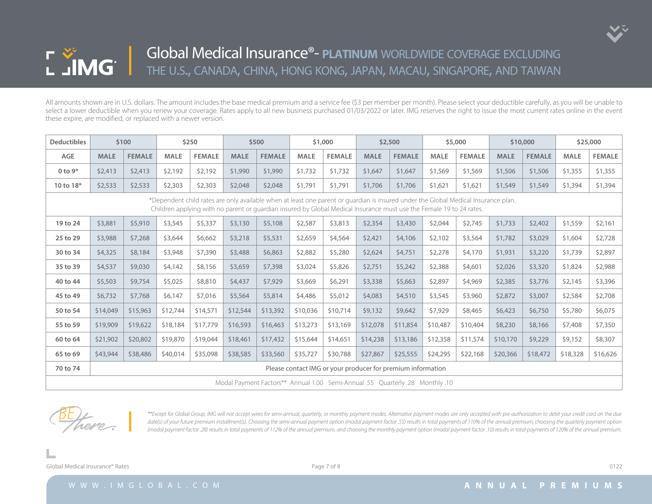

| <b>Deductibles</b> |                                                                                                                                                                                                                                                            | \$100         |             | \$250         |             | \$500         |             | \$1,000                                                                       |             | \$2,500       |             | \$5,000       |             | \$10,000      |             | \$25,000      |
|--------------------|------------------------------------------------------------------------------------------------------------------------------------------------------------------------------------------------------------------------------------------------------------|---------------|-------------|---------------|-------------|---------------|-------------|-------------------------------------------------------------------------------|-------------|---------------|-------------|---------------|-------------|---------------|-------------|---------------|
| AGE                | <b>MALE</b>                                                                                                                                                                                                                                                | <b>FEMALE</b> | <b>MALE</b> | <b>FEMALE</b> | <b>MALE</b> | <b>FEMALE</b> | <b>MALE</b> | <b>FEMALE</b>                                                                 | <b>MALE</b> | <b>FEMALE</b> | <b>MALE</b> | <b>FEMALE</b> | <b>MALE</b> | <b>FEMALE</b> | <b>MALE</b> | <b>FEMALE</b> |
| 0 to $9*$          | \$2,413                                                                                                                                                                                                                                                    | \$2,413       | \$2,192     | \$2,192       | \$1,990     | \$1,990       | \$1,732     | \$1,732                                                                       | \$1,647     | \$1,647       | \$1,569     | \$1,569       | \$1,506     | \$1,506       | \$1,355     | \$1,355       |
| 10 to 18*          | \$2,533                                                                                                                                                                                                                                                    | \$2,533       | \$2,303     | \$2,303       | \$2,048     | \$2,048       | \$1,791     | \$1,791                                                                       | \$1,706     | \$1,706       | \$1,621     | \$1,621       | \$1,549     | \$1,549       | \$1,394     | \$1,394       |
|                    | *Dependent child rates are only available when at least one parent or quardian is insured under the Global Medical Insurance plan.<br>Children applying with no parent or guardian insured by Global Medical Insurance must use the Female 19 to 24 rates. |               |             |               |             |               |             |                                                                               |             |               |             |               |             |               |             |               |
| 19 to 24           | \$3,881                                                                                                                                                                                                                                                    | \$5,910       | \$3,545     | \$5,337       | \$3,130     | \$5,108       | \$2,587     | \$3,813                                                                       | \$2,354     | \$3,430       | \$2,044     | \$2,745       | \$1,733     | \$2,402       | \$1,559     | \$2,161       |
| 25 to 29           | \$3,988                                                                                                                                                                                                                                                    | \$7,268       | \$3,644     | \$6,662       | \$3,218     | \$5,531       | \$2,659     | \$4,564                                                                       | \$2,421     | \$4,106       | \$2,102     | \$3,564       | \$1,782     | \$3,029       | \$1,604     | \$2,728       |
| 30 to 34           | \$4,325                                                                                                                                                                                                                                                    | \$8,184       | \$3,948     | \$7,390       | \$3,488     | \$6,863       | \$2,882     | \$5,280                                                                       | \$2,624     | \$4,751       | \$2,278     | \$4,170       | \$1,931     | \$3,220       | \$1,739     | \$2,897       |
| 35 to 39           | \$4,537                                                                                                                                                                                                                                                    | \$9,030       | \$4,142     | \$8,156       | \$3,659     | \$7,398       | \$3,024     | \$5,826                                                                       | \$2,751     | \$5,242       | \$2,388     | \$4,601       | \$2,026     | \$3,320       | \$1,824     | \$2,988       |
| 40 to 44           | \$5,503                                                                                                                                                                                                                                                    | \$9,754       | \$5,025     | \$8,810       | \$4,437     | \$7,929       | \$3,669     | \$6,291                                                                       | \$3,338     | \$5,663       | \$2,897     | \$4,969       | \$2,385     | \$3,776       | \$2,145     | \$3,396       |
| 45 to 49           | \$6,732                                                                                                                                                                                                                                                    | \$7,768       | \$6,147     | \$7,016       | \$5,564     | \$5,814       | \$4,486     | \$5,012                                                                       | \$4,083     | \$4,510       | \$3,545     | \$3,960       | \$2,872     | \$3,007       | \$2,584     | \$2,708       |
| 50 to 54           | \$14,049                                                                                                                                                                                                                                                   | \$15,963      | \$12,744    | \$14,571      | \$12,544    | \$13,392      | \$10,036    | \$10,714                                                                      | \$9,132     | \$9,642       | \$7,929     | \$8,465       | \$6,423     | \$6,750       | \$5,780     | \$6,075       |
| 55 to 59           | \$19,909                                                                                                                                                                                                                                                   | \$19,622      | \$18,184    | \$17,779      | \$16,593    | \$16,463      | \$13,273    | \$13,169                                                                      | \$12,078    | \$11,854      | \$10,487    | \$10,404      | \$8,230     | \$8,166       | \$7,408     | \$7,350       |
| 60 to 64           | \$21,902                                                                                                                                                                                                                                                   | \$20,802      | \$19,870    | \$19,044      | \$18,461    | \$17,432      | \$15,644    | \$14,651                                                                      | \$14,238    | \$13,186      | \$12,358    | \$11,574      | \$10,170    | \$9,229       | \$9,152     | \$8,307       |
| 65 to 69           | \$43,944                                                                                                                                                                                                                                                   | \$38,486      | \$40,014    | \$35,098      | \$38,585    | \$33,560      | \$35,727    | \$30,788                                                                      | \$27,867    | \$25,555      | \$24,295    | \$22,168      | \$20,366    | \$18,472      | \$18,328    | \$16,626      |
| 70 to 74           |                                                                                                                                                                                                                                                            |               |             |               |             |               |             | Please contact IMG or your producer for premium information                   |             |               |             |               |             |               |             |               |
|                    |                                                                                                                                                                                                                                                            |               |             |               |             |               |             | 10. Modal Payment Factors** Annual 1.00 Semi-Annual .55 Quarterly .28 Monthly |             |               |             |               |             |               |             |               |



*\*\*Except for Global Group, IMG will not accept wires for semi-annual, quarterly, or monthly payment modes. Alternative payment modes are only accepted with pre-authorization to debit your credit card on the due*  date(s) of your future premium installment(s). Choosing the semi-annual payment option (modal payment factor .55) results in total payments of 110% of the annual premium, choosing the quarterly payment option *(modal payment factor .28) results in total payments of 112% of the annual premium, and choosing the monthly payment option (modal payment factor .10) results in total payments of 120% of the annual premium.*

Global Medical Insurance® Rates **Department of Contract Contract Contract Contract Page 7** of 8 0122